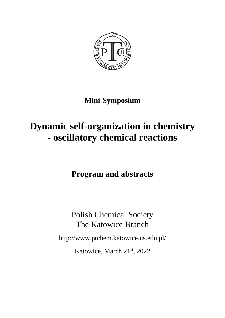

### **Mini-Symposium**

## **Dynamic self-organization in chemistry - oscillatory chemical reactions**

**Program and abstracts**

Polish Chemical Society The Katowice Branch

http://www.ptchem.katowice.us.edu.pl/

Katowice, March 21st, 2022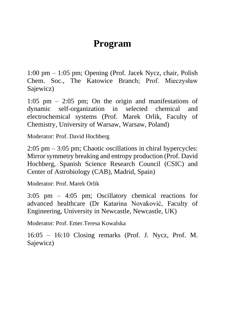## **Program**

1:00 pm – 1:05 pm; Opening (Prof. Jacek Nycz, chair, Polish Chem. Soc., The Katowice Branch; Prof. Mieczysław Sajewicz)

1:05 pm – 2:05 pm; On the origin and manifestations of dynamic self-organization in selected chemical and electrochemical systems (Prof. Marek Orlik, Faculty of Chemistry, University of Warsaw, Warsaw, Poland)

Moderator: Prof. David Hochberg

2:05 pm – 3:05 pm; Chaotic oscillations in chiral hypercycles: Mirror symmetry breaking and entropy production (Prof. David Hochberg, Spanish Science Research Council (CSIC) and Center of Astrobiology (CAB), Madrid, Spain)

Moderator: Prof. Marek Orlik

3:05 pm – 4:05 pm; Oscillatory chemical reactions for advanced healthcare (Dr Katarina Novaković, Faculty of Engineering, University in Newcastle, Newcastle, UK)

Moderator: Prof. Emer.Teresa Kowalska

16:05 – 16:10 Closing remarks (Prof. J. Nycz, Prof. M. Sajewicz)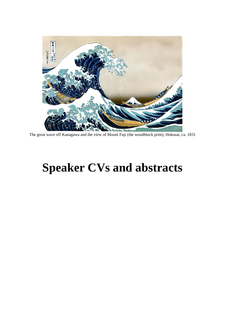

The great wave off Kanagawa and the view of Mount Fuji (the woodblock print); Hokusai, ca. 1831

# **Speaker CVs and abstracts**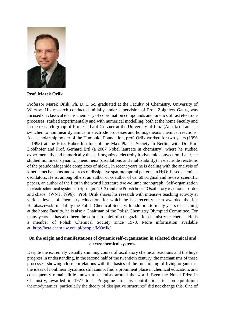

**Prof. Marek Orlik**

Professor Marek Orlik, Ph. D. D.Sc. graduated at the Faculty of Chemistry, University of Warsaw. His research conducted initially under supervision of Prof. Zbigniew Galus, was focused on classical electrochemistry of coordination compounds and kinetics of fast electrode processes, studied experimentally and with numerical modelling, both at the home Faculty and in the research group of Prof. Gerhard Gritzner at the University of Linz (Austria). Later he switched to nonlinear dynamics in electrode processes and homogeneous chemical reactions. As a scholarship holder of the Humboldt Foundation, prof. Orlik worked for two years (1996 – 1998) at the Fritz Haber Institute of the Max Planck Society in Berlin, with Dr. Karl Doblhofer and Prof. Gerhard Ertl (a 2007 Nobel laureate in chemistry), where he studied experimentally and numerically the self-organized electrohydrodynamic convection. Later, he studied nonlinear dynamic phenomena (oscillations and multistability) in electrode reactions of the pseudohalogenide complexes of nickel. In recent years he is dealing with the analysis of kinetic mechanisms and sources of dissipative spatiotemporal patterns in  $H_2O_2$ -based chemical oscillators. He is, among others, an author or coauthor of ca. 60 original and review scientific papers, an author of the first in the world literature two-volume monograph "Self-organization in electrochemical systems" (Springer, 2012) and the Polish book "Oscillatory reactions – order and chaos" (WNT, 1996). Prof. Orlik shares his research with intensive teaching activity at various levels of chemistry education, for which he has recently been awarded the Jan Harabaszewski medal by the Polish Chemical Society. In addition to many years of teaching at the home Faculty, he is also a Chairman of the Polish Chemistry Olympiad Committee. For many years he has also been the editor-in-chief of a magazine for chemistry teachers. He is a member of Polish Chemical Society since 1978. More information available at: <http://beta.chem.uw.edu.pl/people/MOrlik/>

#### **On the origin and manifestations of dynamic self-organization in selected chemical and electrochemical systems**

Despite the extremely visually stunning course of oscillatory chemical reactions and the huge progress in understanding, in the second half of the twentieth century, the mechanisms of these processes, showing close correlations with the basics of the functioning of living organisms, the ideas of nonlinear dynamics still cannot find a prominent place in chemical education, and consequently remain little-known to chemists around the world. Even the Nobel Prize in Chemistry, awarded in 1977 to I. Prigogine "for his contributions to non-equilibrium thermodynamics, particularly the theory of dissipative structures" did not change this. One of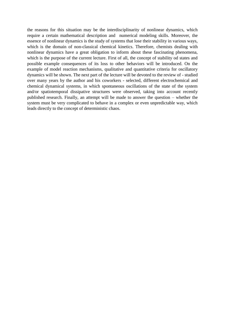the reasons for this situation may be the interdisciplinarity of nonlinear dynamics, which require a certain mathematical description and numerical modeling skills. Moreover, the essence of nonlinear dynamics is the study of systems that lose their stability in various ways, which is the domain of non-classical chemical kinetics. Therefore, chemists dealing with nonlinear dynamics have a great obligation to inform about these fascinating phenomena, which is the purpose of the current lecture. First of all, the concept of stability od states and possible example consequences of its loss to other behaviors will be introduced. On the example of model reaction mechanisms, qualitative and quantitative criteria for oscillatory dynamics will be shown. The next part of the lecture will be devoted to the review of - studied over many years by the author and his coworkers - selected, different electrochemical and chemical dynamical systems, in which spontaneous oscillations of the state of the system and/or spatiotemporal dissipative structures were observed, taking into account recently published research. Finally, an attempt will be made to answer the question – whether the system must be very complicated to behave in a complex or even unpredictable way, which leads directly to the concept of deterministic chaos.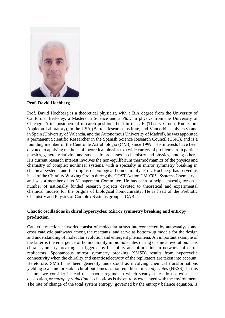

**Prof. David Hochberg**

Prof. David Hochberg is a theoretical physicist, with a B.A degree from the University of California, Berkeley, a Masters in Science and a Ph.D in physics from the University of Chicago. After postdoctoral research positions held in the UK (Theory Group, Rutherford Appleton Laboratory), in the USA (Bartol Research Institute, and Vanderbilt Universty) and in Spain (University of Valencia, and the Autonomous University of Madrid), he was appointed a permanent Scientific Researcher in the Spanish Science Research Council (CSIC), and is a founding member of the Centro de Astrobiología (CAB) since 1999. His interests have been devoted to applying methods of theoretical physics to a wide variety of problems from particle physics, general relativity, and stochastic processes in chemistry and physics, among others. His current research interest involves the non-equilibrium thermodynamics of the physics and chemistry of complex nonlinear systems, with a specialty in mirror symmetry breaking in chemical systems and the origins of biological homochirality. Prof. Hochberg has served as head of the Chirality Working Group during the COST Action CM0703 "Systems Chemistry", and was a member of its Management Committee. He has been principal investigator on a number of nationally funded research projects devoted to theoretical and experimental chemical models for the origins of biological homochirality. He is head of the Prebiotic Chemistry and Physics of Complex Systems group at CAB.

#### **Chaotic oscillations in chiral hypercycles: Mirror symmetry breaking and entropy production**

Catalytic reaction networks consist of molecular arrays interconnected by autocatalysis and cross catalytic pathways among the reactants, and serve as bottom-up models for the design and understanding of molecular evolution and emergent phenomena. An important example of the latter is the emergence of homochirality in biomolecules during chemical evolution. This chiral symmetry breaking is triggered by bistability and bifurcation in networks of chiral replicators. Spontaneous mirror symmetry breaking (SMSB) results from hypercyclic connectivity when the chirality and enantioselectivity of the replicators are taken into account. Heretofore, SMSB has been generally understood as involving chemical transformations yielding scalemic or stable chiral outcomes as non-equilibrium *steady states* (NESS). In this lecture, we consider instead the chaotic regime, in which steady states do not exist. The dissipation, or *entropy production*, is chaotic as is the entropy exchanged with the environment. The rate of change of the total system entropy, governed by the entropy balance equation, is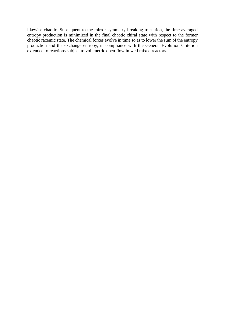likewise chaotic. Subsequent to the mirror symmetry breaking transition, the time averaged entropy production is minimized in the final chaotic chiral state with respect to the former chaotic racemic state. The chemical forces evolve in time so as to lower the sum of the entropy production and the exchange entropy, in compliance with the General Evolution Criterion extended to reactions subject to volumetric open flow in well mixed reactors.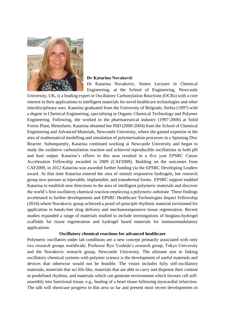

#### **Dr Katarina Novaković**

Dr Katarina Novakovic, Senior Lecturer in Chemical Engineering, at the School of Engineering, Newcastle

University, UK, is a leading expert in Oscillatory Carbonylation Reactions (OCRs) with a core interest in their applications to intelligent materials for novel healthcare technologies and other interdisciplinary uses. Katarina graduated from the University of Belgrade, Serbia (1997) with a degree in Chemical Engineering, specialising in Organic Chemical Technology and Polymer Engineering. Following, she worked in the pharmaceutical industry (1997-2000) at Solid Forms Plant, Hemofarm. Katarina obtained her PhD (2000-2004) from the School of Chemical Engineering and Advanced Materials, Newcastle University, where she gained expertise in the area of mathematical modelling and simulation of polymerisation processes in a Spinning Disc Reactor. Subsequently, Katarina continued working at Newcastle University and began to study the oxidative carbonylation reaction and achieved reproducible oscillations in both pH and heat output. Katarina's efforts in this area resulted in a five year EPSRC Career Acceleration Fellowship awarded in 2009 (CAF2009). Building on the outcomes from CAF2009, in 2012 Katarina was awarded further funding via the EPSRC Developing Leaders award. At that time Katarina entered the area of stimuli responsive hydrogels, her research group now pursues as injectable, implantable, and transdermal forms. EPSRC support enabled Katarina to establish new directions in the area of intelligent polymeric materials and discover the world's first oscillatory chemical reaction employing a polymeric substrate. These findings accelerated to further developments and EPSRC Healthcare Technologies Impact Fellowship (2016) where Novakovic group achieved a proof-of-principle rhythmic material envisioned for application in hands-free drug delivery and mechanoresponsive tissue regeneration. Recent studies expanded a range of materials studied to include investigations of bioglass-hydrogel scaffolds for tissue regeneration and hydrogel based materials for immunomodulatory applications.

#### **Oscillatory chemical reactions for advanced healthcare**

Polymeric oscillators under lab conditions are a new concept primarily associated with only two research groups worldwide, Professor Ryo Yoshida's research group, Tokyo University and the Novakovic research group, Newcastle University. The ultimate aim in linking oscillatory chemical systems with polymer science is the development of useful materials and devices that otherwise would not be feasible. The vision includes fully self-oscillatory materials, materials that act life-like, materials that are able to carry and dispense their content in predefined rhythms, and materials which can generate environment which favours cell selfassembly into functional tissue, e.g., healing of a heart tissue following myocardial infarction. The talk will showcase progress in this area so far and present most recent developments in